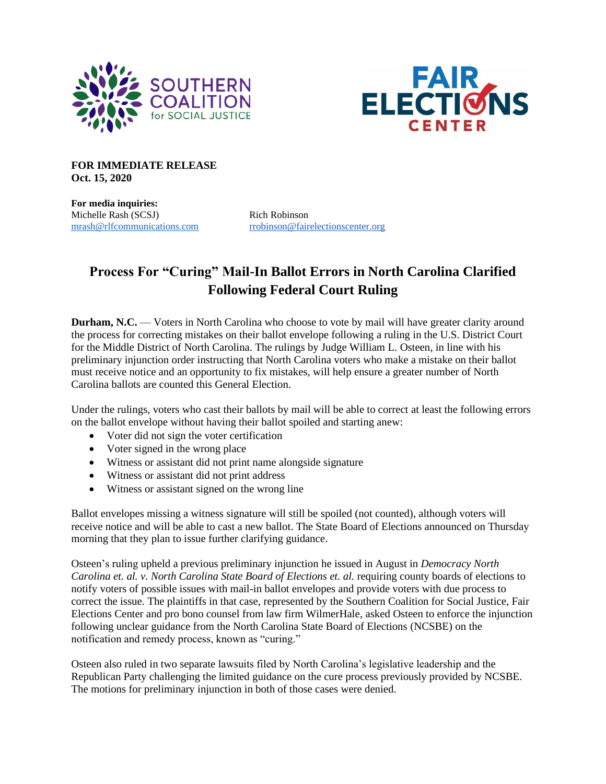



**FOR IMMEDIATE RELEASE Oct. 15, 2020**

**For media inquiries:** Michelle Rash (SCSJ) Rich Robinson

[mrash@rlfcommunications.com](mailto:mrash@rlfcommunications.com) [rrobinson@fairelectionscenter.org](mailto:rrobinson@fairelectionscenter.org)

## **Process For "Curing" Mail-In Ballot Errors in North Carolina Clarified Following Federal Court Ruling**

**Durham, N.C.** — Voters in North Carolina who choose to vote by mail will have greater clarity around the process for correcting mistakes on their ballot envelope following a ruling in the U.S. District Court for the Middle District of North Carolina. The rulings by Judge William L. Osteen, in line with his preliminary injunction order instructing that North Carolina voters who make a mistake on their ballot must receive notice and an opportunity to fix mistakes, will help ensure a greater number of North Carolina ballots are counted this General Election.

Under the rulings, voters who cast their ballots by mail will be able to correct at least the following errors on the ballot envelope without having their ballot spoiled and starting anew:

- Voter did not sign the voter certification
- Voter signed in the wrong place
- Witness or assistant did not print name alongside signature
- Witness or assistant did not print address
- Witness or assistant signed on the wrong line

Ballot envelopes missing a witness signature will still be spoiled (not counted), although voters will receive notice and will be able to cast a new ballot. The State Board of Elections announced on Thursday morning that they plan to issue further clarifying guidance.

Osteen's ruling upheld a previous preliminary injunction he issued in August in *Democracy North Carolina et. al. v. North Carolina State Board of Elections et. al.* requiring county boards of elections to notify voters of possible issues with mail-in ballot envelopes and provide voters with due process to correct the issue. The plaintiffs in that case, represented by the Southern Coalition for Social Justice, Fair Elections Center and pro bono counsel from law firm WilmerHale, asked Osteen to enforce the injunction following unclear guidance from the North Carolina State Board of Elections (NCSBE) on the notification and remedy process, known as "curing."

Osteen also ruled in two separate lawsuits filed by North Carolina's legislative leadership and the Republican Party challenging the limited guidance on the cure process previously provided by NCSBE. The motions for preliminary injunction in both of those cases were denied.